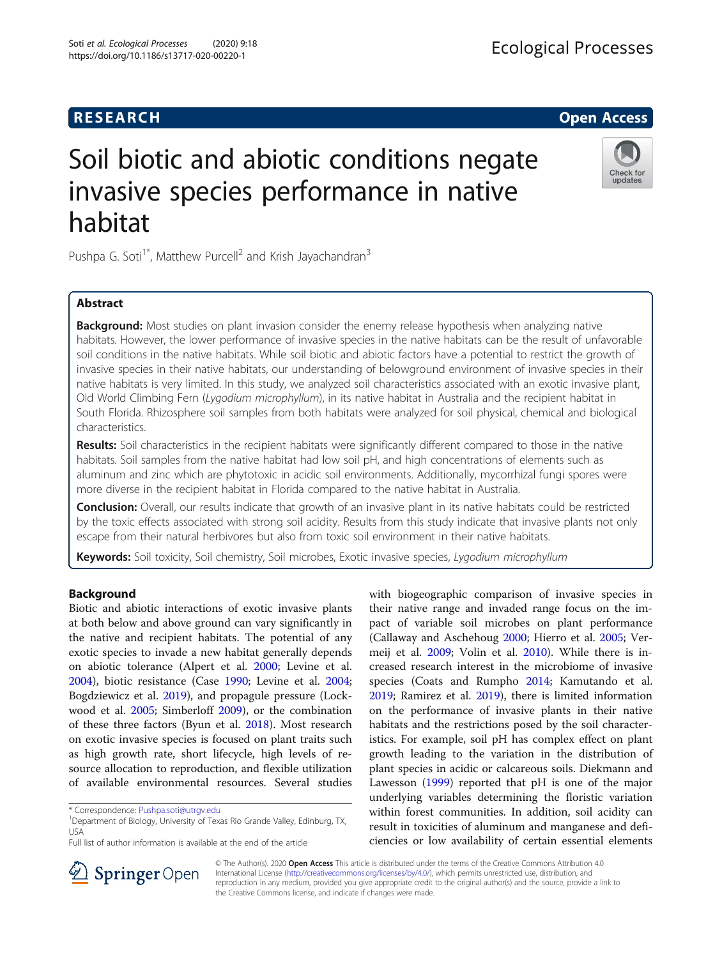Soti et al. Ecological Processes (2020) 9:18 https://doi.org/10.1186/s13717-020-00220-1

Check for updates

# Soil biotic and abiotic conditions negate invasive species performance in native habitat

Pushpa G. Soti<sup>1\*</sup>, Matthew Purcell<sup>2</sup> and Krish Jayachandran<sup>3</sup>

# Abstract

**Background:** Most studies on plant invasion consider the enemy release hypothesis when analyzing native habitats. However, the lower performance of invasive species in the native habitats can be the result of unfavorable soil conditions in the native habitats. While soil biotic and abiotic factors have a potential to restrict the growth of invasive species in their native habitats, our understanding of belowground environment of invasive species in their native habitats is very limited. In this study, we analyzed soil characteristics associated with an exotic invasive plant, Old World Climbing Fern (Lygodium microphyllum), in its native habitat in Australia and the recipient habitat in South Florida. Rhizosphere soil samples from both habitats were analyzed for soil physical, chemical and biological characteristics.

**Results:** Soil characteristics in the recipient habitats were significantly different compared to those in the native habitats. Soil samples from the native habitat had low soil pH, and high concentrations of elements such as aluminum and zinc which are phytotoxic in acidic soil environments. Additionally, mycorrhizal fungi spores were more diverse in the recipient habitat in Florida compared to the native habitat in Australia.

**Conclusion:** Overall, our results indicate that growth of an invasive plant in its native habitats could be restricted by the toxic effects associated with strong soil acidity. Results from this study indicate that invasive plants not only escape from their natural herbivores but also from toxic soil environment in their native habitats.

Keywords: Soil toxicity, Soil chemistry, Soil microbes, Exotic invasive species, Lygodium microphyllum

# Background

Biotic and abiotic interactions of exotic invasive plants at both below and above ground can vary significantly in the native and recipient habitats. The potential of any exotic species to invade a new habitat generally depends on abiotic tolerance (Alpert et al. [2000](#page-7-0); Levine et al. [2004](#page-8-0)), biotic resistance (Case [1990;](#page-7-0) Levine et al. [2004](#page-8-0); Bogdziewicz et al. [2019](#page-7-0)), and propagule pressure (Lockwood et al. [2005;](#page-8-0) Simberloff [2009\)](#page-8-0), or the combination of these three factors (Byun et al. [2018](#page-7-0)). Most research on exotic invasive species is focused on plant traits such as high growth rate, short lifecycle, high levels of resource allocation to reproduction, and flexible utilization of available environmental resources. Several studies

Full list of author information is available at the end of the article





© The Author(s). 2020 Open Access This article is distributed under the terms of the Creative Commons Attribution 4.0 International License ([http://creativecommons.org/licenses/by/4.0/\)](http://creativecommons.org/licenses/by/4.0/), which permits unrestricted use, distribution, and reproduction in any medium, provided you give appropriate credit to the original author(s) and the source, provide a link to the Creative Commons license, and indicate if changes were made.

<sup>\*</sup> Correspondence: [Pushpa.soti@utrgv.edu](mailto:Pushpa.soti@utrgv.edu) <sup>1</sup>

<sup>&</sup>lt;sup>1</sup>Department of Biology, University of Texas Rio Grande Valley, Edinburg, TX, USA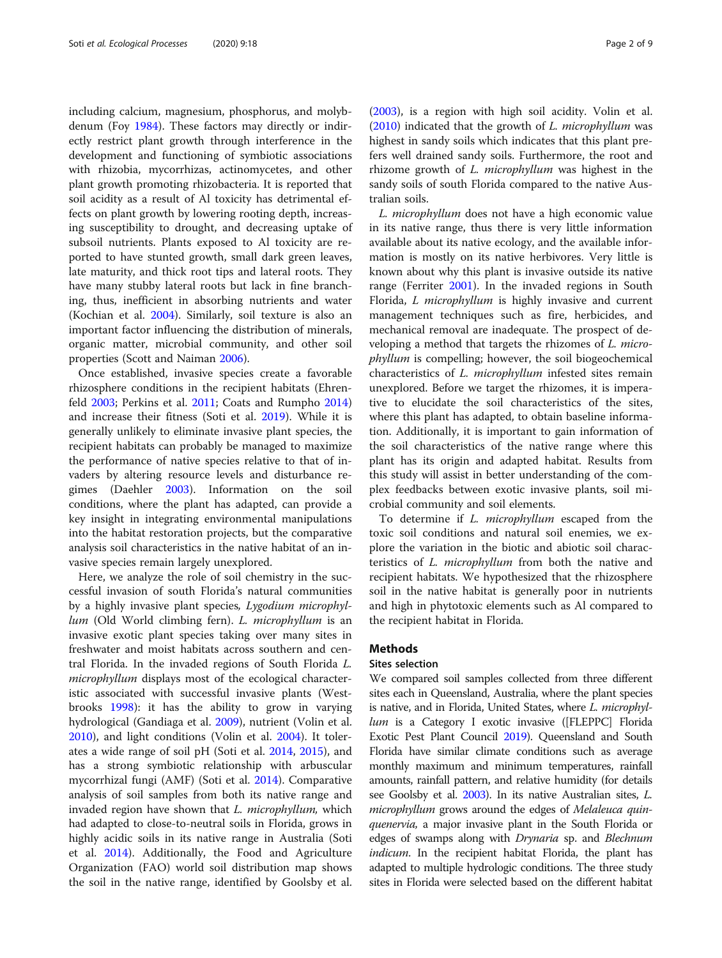including calcium, magnesium, phosphorus, and molybdenum (Foy [1984\)](#page-7-0). These factors may directly or indirectly restrict plant growth through interference in the development and functioning of symbiotic associations with rhizobia, mycorrhizas, actinomycetes, and other plant growth promoting rhizobacteria. It is reported that soil acidity as a result of Al toxicity has detrimental effects on plant growth by lowering rooting depth, increasing susceptibility to drought, and decreasing uptake of subsoil nutrients. Plants exposed to Al toxicity are reported to have stunted growth, small dark green leaves, late maturity, and thick root tips and lateral roots. They have many stubby lateral roots but lack in fine branching, thus, inefficient in absorbing nutrients and water (Kochian et al. [2004\)](#page-8-0). Similarly, soil texture is also an important factor influencing the distribution of minerals, organic matter, microbial community, and other soil properties (Scott and Naiman [2006\)](#page-8-0).

Once established, invasive species create a favorable rhizosphere conditions in the recipient habitats (Ehrenfeld [2003;](#page-7-0) Perkins et al. [2011;](#page-8-0) Coats and Rumpho [2014](#page-7-0)) and increase their fitness (Soti et al. [2019](#page-8-0)). While it is generally unlikely to eliminate invasive plant species, the recipient habitats can probably be managed to maximize the performance of native species relative to that of invaders by altering resource levels and disturbance regimes (Daehler [2003](#page-7-0)). Information on the soil conditions, where the plant has adapted, can provide a key insight in integrating environmental manipulations into the habitat restoration projects, but the comparative analysis soil characteristics in the native habitat of an invasive species remain largely unexplored.

Here, we analyze the role of soil chemistry in the successful invasion of south Florida's natural communities by a highly invasive plant species, Lygodium microphyllum (Old World climbing fern). L. microphyllum is an invasive exotic plant species taking over many sites in freshwater and moist habitats across southern and central Florida. In the invaded regions of South Florida L. microphyllum displays most of the ecological characteristic associated with successful invasive plants (Westbrooks [1998](#page-8-0)): it has the ability to grow in varying hydrological (Gandiaga et al. [2009](#page-7-0)), nutrient (Volin et al. [2010](#page-8-0)), and light conditions (Volin et al. [2004](#page-8-0)). It tolerates a wide range of soil pH (Soti et al. [2014,](#page-8-0) [2015\)](#page-8-0), and has a strong symbiotic relationship with arbuscular mycorrhizal fungi (AMF) (Soti et al. [2014\)](#page-8-0). Comparative analysis of soil samples from both its native range and invaded region have shown that *L. microphyllum*, which had adapted to close-to-neutral soils in Florida, grows in highly acidic soils in its native range in Australia (Soti et al. [2014\)](#page-8-0). Additionally, the Food and Agriculture Organization (FAO) world soil distribution map shows the soil in the native range, identified by Goolsby et al.

([2003\)](#page-8-0), is a region with high soil acidity. Volin et al.  $(2010)$  $(2010)$  indicated that the growth of *L. microphyllum* was highest in sandy soils which indicates that this plant prefers well drained sandy soils. Furthermore, the root and rhizome growth of L. microphyllum was highest in the sandy soils of south Florida compared to the native Australian soils.

L. microphyllum does not have a high economic value in its native range, thus there is very little information available about its native ecology, and the available information is mostly on its native herbivores. Very little is known about why this plant is invasive outside its native range (Ferriter [2001](#page-7-0)). In the invaded regions in South Florida, L microphyllum is highly invasive and current management techniques such as fire, herbicides, and mechanical removal are inadequate. The prospect of developing a method that targets the rhizomes of L. microphyllum is compelling; however, the soil biogeochemical characteristics of L. microphyllum infested sites remain unexplored. Before we target the rhizomes, it is imperative to elucidate the soil characteristics of the sites, where this plant has adapted, to obtain baseline information. Additionally, it is important to gain information of the soil characteristics of the native range where this plant has its origin and adapted habitat. Results from this study will assist in better understanding of the complex feedbacks between exotic invasive plants, soil microbial community and soil elements.

To determine if L. microphyllum escaped from the toxic soil conditions and natural soil enemies, we explore the variation in the biotic and abiotic soil characteristics of L. microphyllum from both the native and recipient habitats. We hypothesized that the rhizosphere soil in the native habitat is generally poor in nutrients and high in phytotoxic elements such as Al compared to the recipient habitat in Florida.

#### **Methods**

#### Sites selection

We compared soil samples collected from three different sites each in Queensland, Australia, where the plant species is native, and in Florida, United States, where L. microphyllum is a Category I exotic invasive ([FLEPPC] Florida Exotic Pest Plant Council [2019\)](#page-7-0). Queensland and South Florida have similar climate conditions such as average monthly maximum and minimum temperatures, rainfall amounts, rainfall pattern, and relative humidity (for details see Goolsby et al. [2003\)](#page-8-0). In its native Australian sites, L. microphyllum grows around the edges of Melaleuca quinquenervia, a major invasive plant in the South Florida or edges of swamps along with *Drynaria* sp. and *Blechnum* indicum. In the recipient habitat Florida, the plant has adapted to multiple hydrologic conditions. The three study sites in Florida were selected based on the different habitat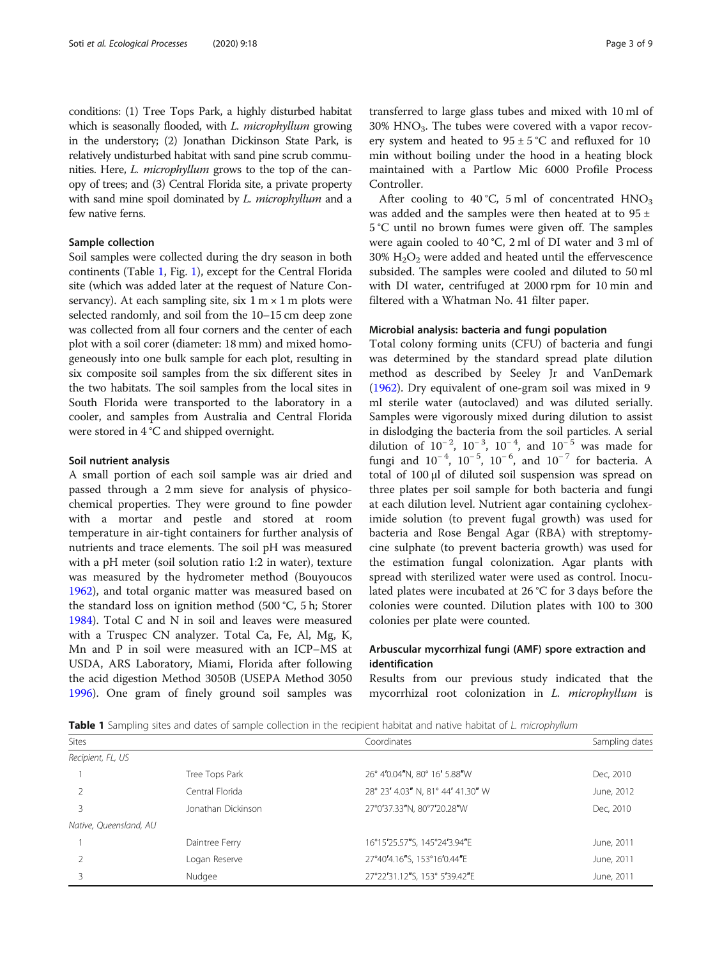conditions: (1) Tree Tops Park, a highly disturbed habitat which is seasonally flooded, with L. microphyllum growing in the understory; (2) Jonathan Dickinson State Park, is relatively undisturbed habitat with sand pine scrub communities. Here, L. microphyllum grows to the top of the canopy of trees; and (3) Central Florida site, a private property with sand mine spoil dominated by L. microphyllum and a few native ferns.

### Sample collection

Soil samples were collected during the dry season in both continents (Table 1, Fig. [1](#page-3-0)), except for the Central Florida site (which was added later at the request of Nature Conservancy). At each sampling site, six  $1 \text{ m} \times 1 \text{ m}$  plots were selected randomly, and soil from the 10–15 cm deep zone was collected from all four corners and the center of each plot with a soil corer (diameter: 18 mm) and mixed homogeneously into one bulk sample for each plot, resulting in six composite soil samples from the six different sites in the two habitats. The soil samples from the local sites in South Florida were transported to the laboratory in a cooler, and samples from Australia and Central Florida were stored in 4 °C and shipped overnight.

#### Soil nutrient analysis

A small portion of each soil sample was air dried and passed through a 2 mm sieve for analysis of physicochemical properties. They were ground to fine powder with a mortar and pestle and stored at room temperature in air-tight containers for further analysis of nutrients and trace elements. The soil pH was measured with a pH meter (soil solution ratio 1:2 in water), texture was measured by the hydrometer method (Bouyoucos [1962](#page-7-0)), and total organic matter was measured based on the standard loss on ignition method (500 °C, 5 h; Storer [1984](#page-8-0)). Total C and N in soil and leaves were measured with a Truspec CN analyzer. Total Ca, Fe, Al, Mg, K, Mn and P in soil were measured with an ICP–MS at USDA, ARS Laboratory, Miami, Florida after following the acid digestion Method 3050B (USEPA Method 3050 [1996](#page-8-0)). One gram of finely ground soil samples was

transferred to large glass tubes and mixed with 10 ml of  $30\%$  HNO<sub>3</sub>. The tubes were covered with a vapor recovery system and heated to  $95 \pm 5^{\circ}$ C and refluxed for 10 min without boiling under the hood in a heating block maintained with a Partlow Mic 6000 Profile Process Controller.

After cooling to  $40^{\circ}$ C, 5 ml of concentrated  $HNO<sub>3</sub>$ was added and the samples were then heated at to  $95 \pm$ 5 °C until no brown fumes were given off. The samples were again cooled to 40 °C, 2 ml of DI water and 3 ml of  $30\%$  H<sub>2</sub>O<sub>2</sub> were added and heated until the effervescence subsided. The samples were cooled and diluted to 50 ml with DI water, centrifuged at 2000 rpm for 10 min and filtered with a Whatman No. 41 filter paper.

#### Microbial analysis: bacteria and fungi population

Total colony forming units (CFU) of bacteria and fungi was determined by the standard spread plate dilution method as described by Seeley Jr and VanDemark ([1962\)](#page-8-0). Dry equivalent of one-gram soil was mixed in 9 ml sterile water (autoclaved) and was diluted serially. Samples were vigorously mixed during dilution to assist in dislodging the bacteria from the soil particles. A serial dilution of  $10^{-2}$ ,  $10^{-3}$ ,  $10^{-4}$ , and  $10^{-5}$  was made for fungi and  $10^{-4}$ ,  $10^{-5}$ ,  $10^{-6}$ , and  $10^{-7}$  for bacteria. A total of 100 μl of diluted soil suspension was spread on three plates per soil sample for both bacteria and fungi at each dilution level. Nutrient agar containing cycloheximide solution (to prevent fugal growth) was used for bacteria and Rose Bengal Agar (RBA) with streptomycine sulphate (to prevent bacteria growth) was used for the estimation fungal colonization. Agar plants with spread with sterilized water were used as control. Inoculated plates were incubated at 26 °C for 3 days before the colonies were counted. Dilution plates with 100 to 300 colonies per plate were counted.

## Arbuscular mycorrhizal fungi (AMF) spore extraction and identification

Results from our previous study indicated that the mycorrhizal root colonization in L. microphyllum is

Table 1 Sampling sites and dates of sample collection in the recipient habitat and native habitat of L. microphyllum

| Sites                  |                    | Coordinates                       | Sampling dates |  |  |  |  |
|------------------------|--------------------|-----------------------------------|----------------|--|--|--|--|
| Recipient, FL, US      |                    |                                   |                |  |  |  |  |
|                        | Tree Tops Park     | 26° 4'0.04"N, 80° 16' 5.88"W      | Dec, 2010      |  |  |  |  |
|                        | Central Florida    | 28° 23' 4.03" N, 81° 44' 41.30" W | June, 2012     |  |  |  |  |
| 3                      | Jonathan Dickinson | 27°0'37.33"N, 80°7'20.28"W        | Dec, 2010      |  |  |  |  |
| Native, Queensland, AU |                    |                                   |                |  |  |  |  |
|                        | Daintree Ferry     | 16°15'25.57"S, 145°24'3.94"E      | June, 2011     |  |  |  |  |
|                        | Logan Reserve      | 27°40'4.16"S, 153°16'0.44"E       | June, 2011     |  |  |  |  |
|                        | Nudgee             | 27°22'31.12"S, 153° 5'39.42"E     | June, 2011     |  |  |  |  |
|                        |                    |                                   |                |  |  |  |  |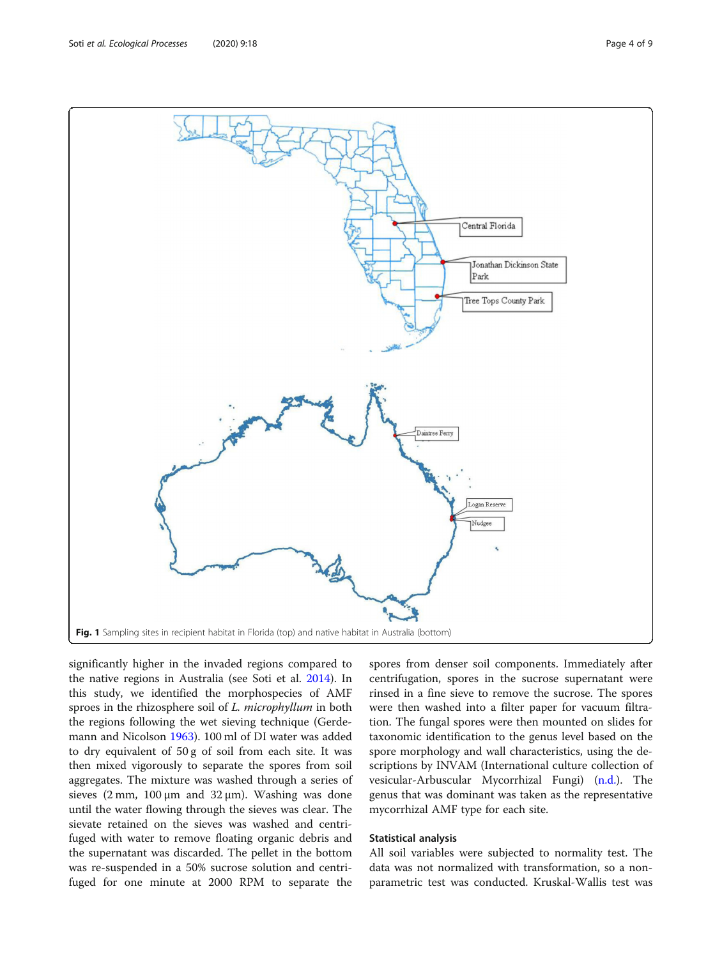<span id="page-3-0"></span>

significantly higher in the invaded regions compared to the native regions in Australia (see Soti et al. [2014\)](#page-8-0). In this study, we identified the morphospecies of AMF sproes in the rhizosphere soil of L. microphyllum in both the regions following the wet sieving technique (Gerdemann and Nicolson [1963\)](#page-8-0). 100 ml of DI water was added to dry equivalent of 50 g of soil from each site. It was then mixed vigorously to separate the spores from soil aggregates. The mixture was washed through a series of sieves  $(2 \text{ mm}, 100 \mu \text{ m} \text{ and } 32 \mu \text{m})$ . Washing was done until the water flowing through the sieves was clear. The sievate retained on the sieves was washed and centrifuged with water to remove floating organic debris and the supernatant was discarded. The pellet in the bottom was re-suspended in a 50% sucrose solution and centrifuged for one minute at 2000 RPM to separate the

spores from denser soil components. Immediately after centrifugation, spores in the sucrose supernatant were rinsed in a fine sieve to remove the sucrose. The spores were then washed into a filter paper for vacuum filtration. The fungal spores were then mounted on slides for taxonomic identification to the genus level based on the spore morphology and wall characteristics, using the descriptions by INVAM (International culture collection of vesicular-Arbuscular Mycorrhizal Fungi) ([n.d.](#page-8-0)). The genus that was dominant was taken as the representative mycorrhizal AMF type for each site.

#### Statistical analysis

All soil variables were subjected to normality test. The data was not normalized with transformation, so a nonparametric test was conducted. Kruskal-Wallis test was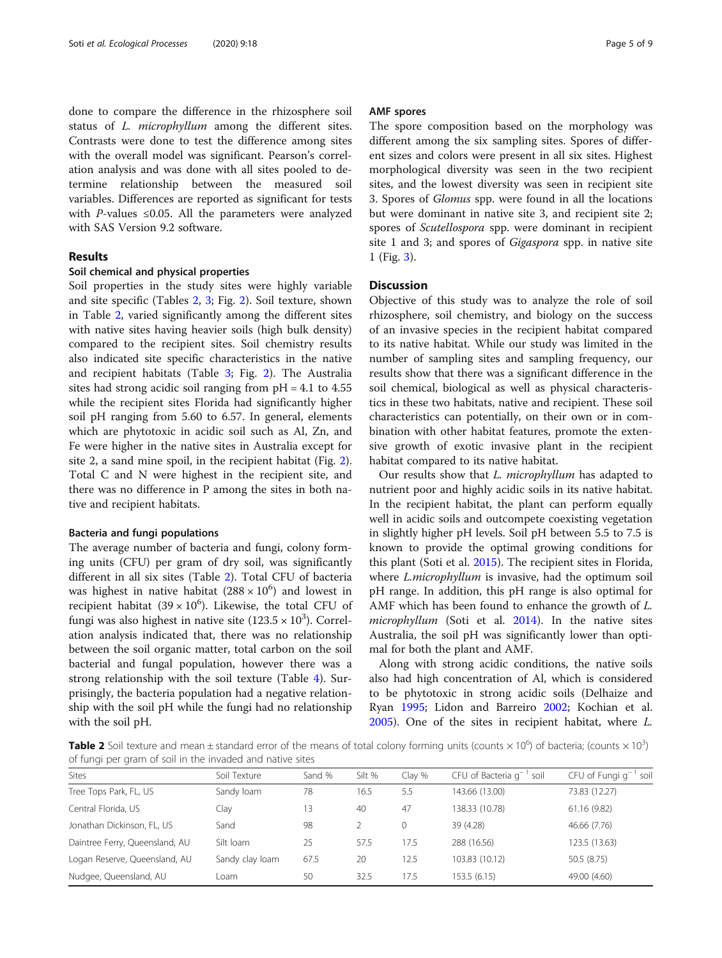done to compare the difference in the rhizosphere soil status of *L. microphyllum* among the different sites. Contrasts were done to test the difference among sites with the overall model was significant. Pearson's correlation analysis and was done with all sites pooled to determine relationship between the measured soil variables. Differences are reported as significant for tests with P-values  $\leq 0.05$ . All the parameters were analyzed with SAS Version 9.2 software.

#### Results

#### Soil chemical and physical properties

Soil properties in the study sites were highly variable and site specific (Tables 2, [3](#page-5-0); Fig. [2\)](#page-5-0). Soil texture, shown in Table 2, varied significantly among the different sites with native sites having heavier soils (high bulk density) compared to the recipient sites. Soil chemistry results also indicated site specific characteristics in the native and recipient habitats (Table [3;](#page-5-0) Fig. [2](#page-5-0)). The Australia sites had strong acidic soil ranging from  $pH = 4.1$  to 4.55 while the recipient sites Florida had significantly higher soil pH ranging from 5.60 to 6.57. In general, elements which are phytotoxic in acidic soil such as Al, Zn, and Fe were higher in the native sites in Australia except for site 2, a sand mine spoil, in the recipient habitat (Fig. [2](#page-5-0)). Total C and N were highest in the recipient site, and there was no difference in P among the sites in both native and recipient habitats.

#### Bacteria and fungi populations

The average number of bacteria and fungi, colony forming units (CFU) per gram of dry soil, was significantly different in all six sites (Table 2). Total CFU of bacteria was highest in native habitat  $(288 \times 10^6)$  and lowest in recipient habitat  $(39 \times 10^6)$ . Likewise, the total CFU of fungi was also highest in native site (123.5  $\times$  10<sup>3</sup>). Correlation analysis indicated that, there was no relationship between the soil organic matter, total carbon on the soil bacterial and fungal population, however there was a strong relationship with the soil texture (Table [4\)](#page-6-0). Surprisingly, the bacteria population had a negative relationship with the soil pH while the fungi had no relationship with the soil pH.

#### AMF spores

The spore composition based on the morphology was different among the six sampling sites. Spores of different sizes and colors were present in all six sites. Highest morphological diversity was seen in the two recipient sites, and the lowest diversity was seen in recipient site 3. Spores of Glomus spp. were found in all the locations but were dominant in native site 3, and recipient site 2; spores of Scutellospora spp. were dominant in recipient site 1 and 3; and spores of Gigaspora spp. in native site 1 (Fig. [3](#page-6-0)).

#### **Discussion**

Objective of this study was to analyze the role of soil rhizosphere, soil chemistry, and biology on the success of an invasive species in the recipient habitat compared to its native habitat. While our study was limited in the number of sampling sites and sampling frequency, our results show that there was a significant difference in the soil chemical, biological as well as physical characteristics in these two habitats, native and recipient. These soil characteristics can potentially, on their own or in combination with other habitat features, promote the extensive growth of exotic invasive plant in the recipient habitat compared to its native habitat.

Our results show that L. microphyllum has adapted to nutrient poor and highly acidic soils in its native habitat. In the recipient habitat, the plant can perform equally well in acidic soils and outcompete coexisting vegetation in slightly higher pH levels. Soil pH between 5.5 to 7.5 is known to provide the optimal growing conditions for this plant (Soti et al. [2015](#page-8-0)). The recipient sites in Florida, where *L.microphyllum* is invasive, had the optimum soil pH range. In addition, this pH range is also optimal for AMF which has been found to enhance the growth of L. microphyllum (Soti et al. [2014](#page-8-0)). In the native sites Australia, the soil pH was significantly lower than optimal for both the plant and AMF.

Along with strong acidic conditions, the native soils also had high concentration of Al, which is considered to be phytotoxic in strong acidic soils (Delhaize and Ryan [1995;](#page-7-0) Lidon and Barreiro [2002](#page-8-0); Kochian et al. [2005](#page-8-0)). One of the sites in recipient habitat, where L.

Table 2 Soil texture and mean ± standard error of the means of total colony forming units (counts × 10<sup>6</sup>) of bacteria; (counts × 10<sup>3</sup>) of fungi per gram of soil in the invaded and native sites

| <b>Sites</b>                   | Soil Texture    | Sand % | Silt % | Clay % | CFU of Bacteria $q^{-1}$ soil | CFU of Fungi $q^{-1}$ soil |
|--------------------------------|-----------------|--------|--------|--------|-------------------------------|----------------------------|
| Tree Tops Park, FL, US         | Sandy loam      | 78     | 16.5   | 5.5    | 143.66 (13.00)                | 73.83 (12.27)              |
| Central Florida, US            | Clay            | 13     | 40     | 47     | 138.33 (10.78)                | 61.16 (9.82)               |
| Jonathan Dickinson, FL, US     | Sand            | 98     |        | 0      | 39 (4.28)                     | 46.66 (7.76)               |
| Daintree Ferry, Queensland, AU | Silt loam       | 25     | 57.5   | 17.5   | 288 (16.56)                   | 123.5 (13.63)              |
| Logan Reserve, Queensland, AU  | Sandy clay loam | 67.5   | 20     | 12.5   | 103.83 (10.12)                | 50.5 (8.75)                |
| Nudgee, Queensland, AU         | Loam            | 50     | 32.5   | 17.5   | 153.5(6.15)                   | 49.00 (4.60)               |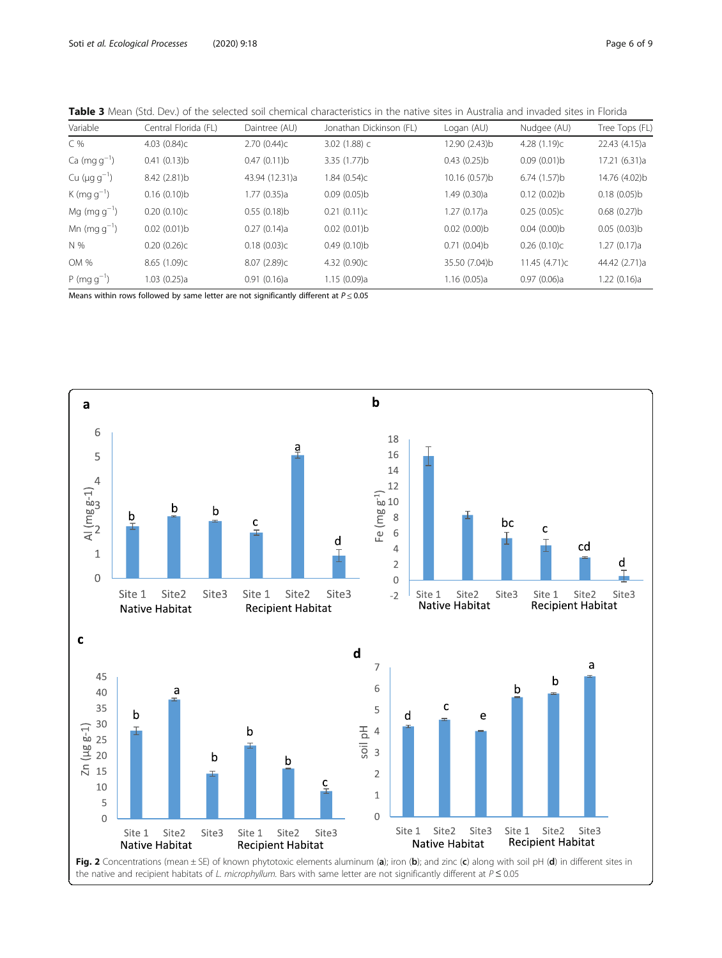<span id="page-5-0"></span>

| Table 3 Mean (Std. Dev.) of the selected soil chemical characteristics in the native sites in Australia and invaded sites in Florida |  |  |  |
|--------------------------------------------------------------------------------------------------------------------------------------|--|--|--|
|--------------------------------------------------------------------------------------------------------------------------------------|--|--|--|

| Variable                       | Central Florida (FL) | Daintree (AU)  | Jonathan Dickinson (FL) | Logan (AU)    | Nudgee (AU)    | Tree Tops (FL) |
|--------------------------------|----------------------|----------------|-------------------------|---------------|----------------|----------------|
| C %                            | 4.03(0.84)c          | 2.70(0.44)c    | $3.02(1.88)$ C          | 12.90 (2.43)b | 4.28 $(1.19)c$ | 22.43 (4.15)a  |
| $Ca (mg g^{-1})$               | 0.41(0.13)b          | 0.47(0.11)b    | 3.35 (1.77)b            | 0.43(0.25)b   | 0.09(0.01)b    | 17.21 (6.31)a  |
| Cu ( $\mu$ g g <sup>-1</sup> ) | 8.42 (2.81)b         | 43.94 (12.31)a | 1.84 (0.54)c            | 10.16 (0.57)b | 6.74(1.57)b    | 14.76 (4.02)b  |
| K (mg $g^{-1}$ )               | 0.16(0.10)b          | 1.77 (0.35)a   | 0.09(0.05)b             | 1.49 (0.30)a  | 0.12(0.02)b    | 0.18(0.05)b    |
| $Mg (mg g^{-1})$               | 0.20(0.10)c          | $0.55(0.18)$ b | 0.21(0.11)c             | 1.27 (0.17)a  | 0.25(0.05)c    | 0.68(0.27)b    |
| Mn (mg $q^{-1}$ )              | 0.02(0.01)b          | 0.27(0.14)a    | 0.02(0.01)b             | 0.02(0.00)b   | 0.04(0.00)b    | 0.05(0.03)b    |
| N %                            | 0.20(0.26)c          | 0.18(0.03)c    | 0.49(0.10)b             | 0.71(0.04)b   | 0.26(0.10)c    | 1.27 (0.17)a   |
| OM %                           | 8.65 (1.09)c         | 8.07 (2.89)c   | 4.32 (0.90)c            | 35.50 (7.04)b | 11.45 (4.71)c  | 44.42 (2.71)a  |
| $P (mg g^{-1})$                | 1.03(0.25)a          | 0.91(0.16)a    | 1.15(0.09)a             | 1.16(0.05)a   | 0.97(0.06)a    | 1.22(0.16)a    |
|                                |                      |                |                         |               |                |                |

Means within rows followed by same letter are not significantly different at  $P \le 0.05$ 

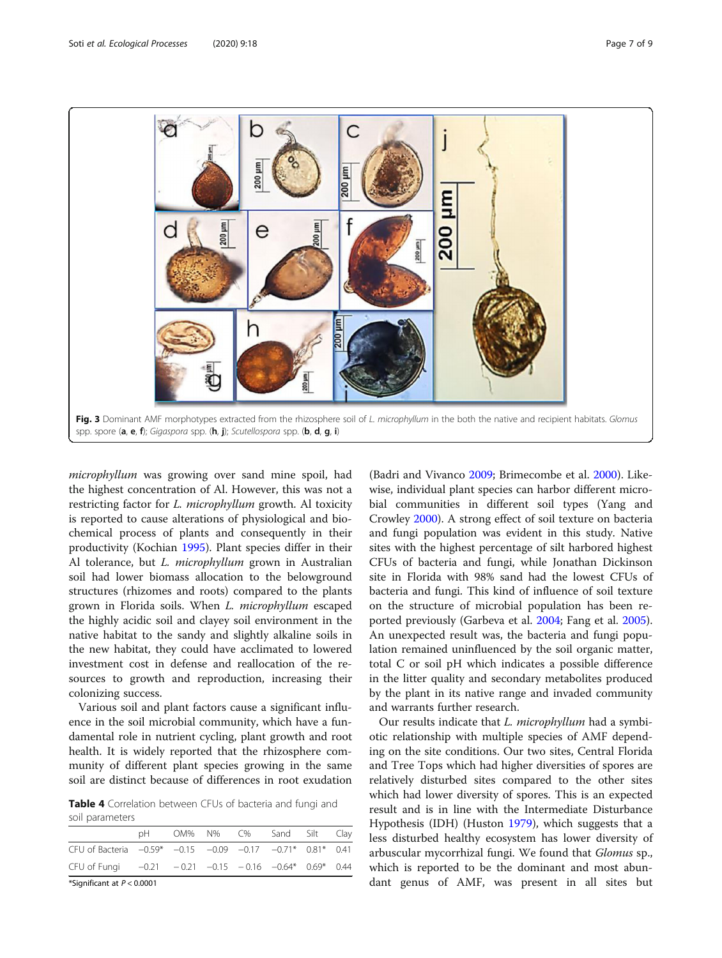<span id="page-6-0"></span>

microphyllum was growing over sand mine spoil, had the highest concentration of Al. However, this was not a restricting factor for L. microphyllum growth. Al toxicity is reported to cause alterations of physiological and biochemical process of plants and consequently in their productivity (Kochian [1995\)](#page-8-0). Plant species differ in their Al tolerance, but L. microphyllum grown in Australian soil had lower biomass allocation to the belowground structures (rhizomes and roots) compared to the plants grown in Florida soils. When L. microphyllum escaped the highly acidic soil and clayey soil environment in the native habitat to the sandy and slightly alkaline soils in the new habitat, they could have acclimated to lowered investment cost in defense and reallocation of the resources to growth and reproduction, increasing their colonizing success.

Various soil and plant factors cause a significant influence in the soil microbial community, which have a fundamental role in nutrient cycling, plant growth and root health. It is widely reported that the rhizosphere community of different plant species growing in the same soil are distinct because of differences in root exudation

Table 4 Correlation between CFUs of bacteria and fungi and soil parameters

| 2011010000001                                                             |    |  |  |  |                          |  |  |  |
|---------------------------------------------------------------------------|----|--|--|--|--------------------------|--|--|--|
| CFU of Fungi $-0.21 -0.21 -0.15 -0.16 -0.64* 0.69* 0.44$                  |    |  |  |  |                          |  |  |  |
| CFU of Bacteria $-0.59$ * $-0.15$ $-0.09$ $-0.17$ $-0.71$ * $0.81$ * 0.41 |    |  |  |  |                          |  |  |  |
|                                                                           | nH |  |  |  | OM% N% C% Sand Silt Clay |  |  |  |
|                                                                           |    |  |  |  |                          |  |  |  |

\*Significant at  $P < 0.0001$ 

(Badri and Vivanco [2009;](#page-7-0) Brimecombe et al. [2000](#page-7-0)). Likewise, individual plant species can harbor different microbial communities in different soil types (Yang and Crowley [2000\)](#page-8-0). A strong effect of soil texture on bacteria and fungi population was evident in this study. Native sites with the highest percentage of silt harbored highest CFUs of bacteria and fungi, while Jonathan Dickinson site in Florida with 98% sand had the lowest CFUs of bacteria and fungi. This kind of influence of soil texture on the structure of microbial population has been reported previously (Garbeva et al. [2004](#page-8-0); Fang et al. [2005](#page-7-0)). An unexpected result was, the bacteria and fungi population remained uninfluenced by the soil organic matter, total C or soil pH which indicates a possible difference in the litter quality and secondary metabolites produced by the plant in its native range and invaded community and warrants further research.

Our results indicate that L. microphyllum had a symbiotic relationship with multiple species of AMF depending on the site conditions. Our two sites, Central Florida and Tree Tops which had higher diversities of spores are relatively disturbed sites compared to the other sites which had lower diversity of spores. This is an expected result and is in line with the Intermediate Disturbance Hypothesis (IDH) (Huston [1979](#page-8-0)), which suggests that a less disturbed healthy ecosystem has lower diversity of arbuscular mycorrhizal fungi. We found that Glomus sp., which is reported to be the dominant and most abundant genus of AMF, was present in all sites but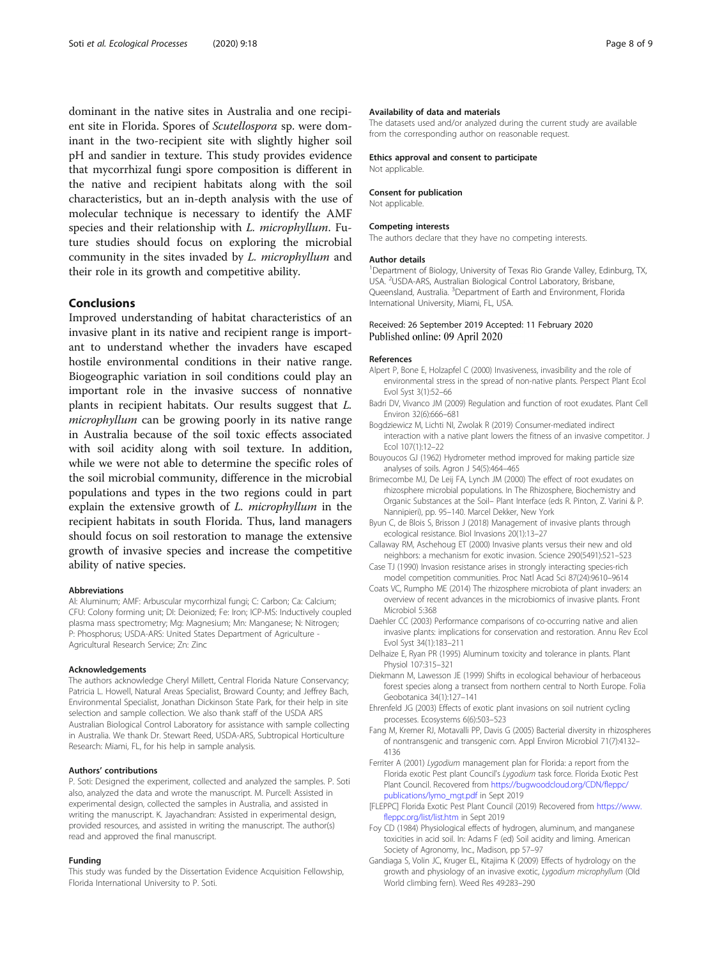<span id="page-7-0"></span>dominant in the native sites in Australia and one recipient site in Florida. Spores of Scutellospora sp. were dominant in the two-recipient site with slightly higher soil pH and sandier in texture. This study provides evidence that mycorrhizal fungi spore composition is different in the native and recipient habitats along with the soil characteristics, but an in-depth analysis with the use of molecular technique is necessary to identify the AMF species and their relationship with L. microphyllum. Future studies should focus on exploring the microbial community in the sites invaded by L. microphyllum and their role in its growth and competitive ability.

#### **Conclusions**

Improved understanding of habitat characteristics of an invasive plant in its native and recipient range is important to understand whether the invaders have escaped hostile environmental conditions in their native range. Biogeographic variation in soil conditions could play an important role in the invasive success of nonnative plants in recipient habitats. Our results suggest that L. microphyllum can be growing poorly in its native range in Australia because of the soil toxic effects associated with soil acidity along with soil texture. In addition, while we were not able to determine the specific roles of the soil microbial community, difference in the microbial populations and types in the two regions could in part explain the extensive growth of L. microphyllum in the recipient habitats in south Florida. Thus, land managers should focus on soil restoration to manage the extensive growth of invasive species and increase the competitive ability of native species.

#### Abbreviations

Al: Aluminum; AMF: Arbuscular mycorrhizal fungi; C: Carbon; Ca: Calcium; CFU: Colony forming unit; DI: Deionized; Fe: Iron; ICP-MS: Inductively coupled plasma mass spectrometry; Mg: Magnesium; Mn: Manganese; N: Nitrogen; P: Phosphorus; USDA-ARS: United States Department of Agriculture - Agricultural Research Service; Zn: Zinc

#### Acknowledgements

The authors acknowledge Cheryl Millett, Central Florida Nature Conservancy; Patricia L. Howell, Natural Areas Specialist, Broward County; and Jeffrey Bach, Environmental Specialist, Jonathan Dickinson State Park, for their help in site selection and sample collection. We also thank staff of the USDA ARS Australian Biological Control Laboratory for assistance with sample collecting in Australia. We thank Dr. Stewart Reed, USDA-ARS, Subtropical Horticulture Research: Miami, FL, for his help in sample analysis.

#### Authors' contributions

P. Soti: Designed the experiment, collected and analyzed the samples. P. Soti also, analyzed the data and wrote the manuscript. M. Purcell: Assisted in experimental design, collected the samples in Australia, and assisted in writing the manuscript. K. Jayachandran: Assisted in experimental design, provided resources, and assisted in writing the manuscript. The author(s) read and approved the final manuscript.

#### Funding

This study was funded by the Dissertation Evidence Acquisition Fellowship, Florida International University to P. Soti.

#### Availability of data and materials

The datasets used and/or analyzed during the current study are available from the corresponding author on reasonable request.

#### Ethics approval and consent to participate Not applicable.

# Consent for publication

Not applicable.

#### Competing interests

The authors declare that they have no competing interests.

#### Author details

<sup>1</sup>Department of Biology, University of Texas Rio Grande Valley, Edinburg, TX USA. <sup>2</sup>USDA-ARS, Australian Biological Control Laboratory, Brisbane Queensland, Australia. <sup>3</sup>Department of Earth and Environment, Florida International University, Miami, FL, USA.

#### Received: 26 September 2019 Accepted: 11 February 2020 Published online: 09 April 2020

#### References

- Alpert P, Bone E, Holzapfel C (2000) Invasiveness, invasibility and the role of environmental stress in the spread of non-native plants. Perspect Plant Ecol Evol Syst 3(1):52–66
- Badri DV, Vivanco JM (2009) Regulation and function of root exudates. Plant Cell Environ 32(6):666–681
- Bogdziewicz M, Lichti NI, Zwolak R (2019) Consumer-mediated indirect interaction with a native plant lowers the fitness of an invasive competitor. J Ecol 107(1):12–22
- Bouyoucos GJ (1962) Hydrometer method improved for making particle size analyses of soils. Agron J 54(5):464–465
- Brimecombe MJ, De Leij FA, Lynch JM (2000) The effect of root exudates on rhizosphere microbial populations. In The Rhizosphere, Biochemistry and Organic Substances at the Soil– Plant Interface (eds R. Pinton, Z. Varini & P. Nannipieri), pp. 95–140. Marcel Dekker, New York
- Byun C, de Blois S, Brisson J (2018) Management of invasive plants through ecological resistance. Biol Invasions 20(1):13–27
- Callaway RM, Aschehoug ET (2000) Invasive plants versus their new and old neighbors: a mechanism for exotic invasion. Science 290(5491):521–523
- Case TJ (1990) Invasion resistance arises in strongly interacting species-rich model competition communities. Proc Natl Acad Sci 87(24):9610–9614
- Coats VC, Rumpho ME (2014) The rhizosphere microbiota of plant invaders: an overview of recent advances in the microbiomics of invasive plants. Front Microbiol 5:368
- Daehler CC (2003) Performance comparisons of co-occurring native and alien invasive plants: implications for conservation and restoration. Annu Rev Ecol Evol Syst 34(1):183–211
- Delhaize E, Ryan PR (1995) Aluminum toxicity and tolerance in plants. Plant Physiol 107:315–321
- Diekmann M, Lawesson JE (1999) Shifts in ecological behaviour of herbaceous forest species along a transect from northern central to North Europe. Folia Geobotanica 34(1):127–141
- Ehrenfeld JG (2003) Effects of exotic plant invasions on soil nutrient cycling processes. Ecosystems 6(6):503–523
- Fang M, Kremer RJ, Motavalli PP, Davis G (2005) Bacterial diversity in rhizospheres of nontransgenic and transgenic corn. Appl Environ Microbiol 71(7):4132– 4136
- Ferriter A (2001) Lygodium management plan for Florida: a report from the Florida exotic Pest plant Council's Lygodium task force. Florida Exotic Pest Plant Council. Recovered from [https://bugwoodcloud.org/CDN/fleppc/](https://bugwoodcloud.org/CDN/fleppc/publications/lymo_mgt.pdf) [publications/lymo\\_mgt.pdf](https://bugwoodcloud.org/CDN/fleppc/publications/lymo_mgt.pdf) in Sept 2019
- [FLEPPC] Florida Exotic Pest Plant Council (2019) Recovered from [https://www.](https://www.fleppc.org/list/list.htm) [fleppc.org/list/list.htm](https://www.fleppc.org/list/list.htm) in Sept 2019
- Foy CD (1984) Physiological effects of hydrogen, aluminum, and manganese toxicities in acid soil. In: Adams F (ed) Soil acidity and liming. American Society of Agronomy, Inc., Madison, pp 57–97
- Gandiaga S, Volin JC, Kruger EL, Kitajima K (2009) Effects of hydrology on the growth and physiology of an invasive exotic, Lygodium microphyllum (Old World climbing fern). Weed Res 49:283–290